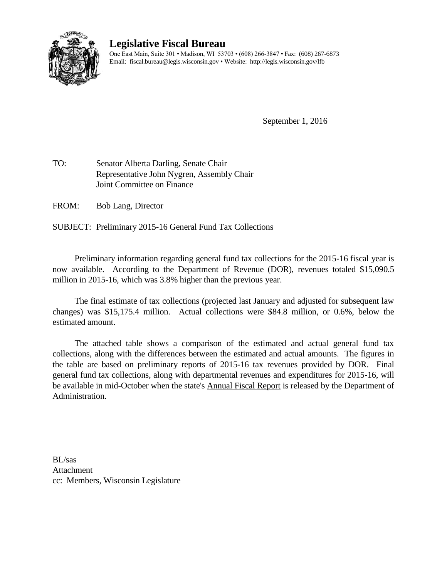

## **Legislative Fiscal Bureau**

One East Main, Suite 301 • Madison, WI 53703 • (608) 266-3847 • Fax: (608) 267-6873 Email: fiscal.bureau@legis.wisconsin.gov • Website:<http://legis.wisconsin.gov/lfb>

September 1, 2016

TO: Senator Alberta Darling, Senate Chair Representative John Nygren, Assembly Chair Joint Committee on Finance

FROM: Bob Lang, Director

SUBJECT: Preliminary 2015-16 General Fund Tax Collections

Preliminary information regarding general fund tax collections for the 2015-16 fiscal year is now available. According to the Department of Revenue (DOR), revenues totaled \$15,090.5 million in 2015-16, which was 3.8% higher than the previous year.

The final estimate of tax collections (projected last January and adjusted for subsequent law changes) was \$15,175.4 million. Actual collections were \$84.8 million, or 0.6%, below the estimated amount.

The attached table shows a comparison of the estimated and actual general fund tax collections, along with the differences between the estimated and actual amounts. The figures in the table are based on preliminary reports of 2015-16 tax revenues provided by DOR. Final general fund tax collections, along with departmental revenues and expenditures for 2015-16, will be available in mid-October when the state's Annual Fiscal Report is released by the Department of Administration.

BL/sas Attachment cc: Members, Wisconsin Legislature